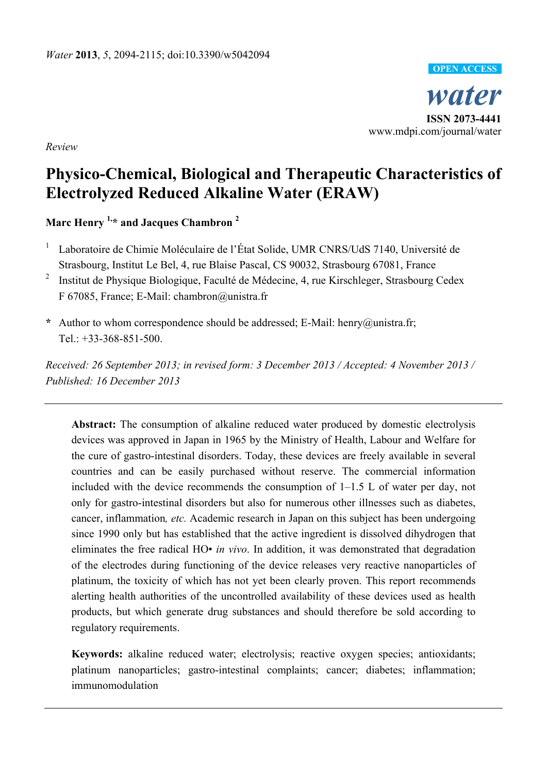

*Review* 

# **Physico-Chemical, Biological and Therapeutic Characteristics of Electrolyzed Reduced Alkaline Water (ERAW)**

**Marc Henry 1,\* and Jacques Chambron 2**

- 1 Laboratoire de Chimie Moléculaire de l'État Solide, UMR CNRS/UdS 7140, Université de Strasbourg, Institut Le Bel, 4, rue Blaise Pascal, CS 90032, Strasbourg 67081, France
- 2 Institut de Physique Biologique, Faculté de Médecine, 4, rue Kirschleger, Strasbourg Cedex F 67085, France; E-Mail: chambron@unistra.fr
- **\*** Author to whom correspondence should be addressed; E-Mail: henry@unistra.fr; Tel.:  $+33-368-851-500$ .

*Received: 26 September 2013; in revised form: 3 December 2013 / Accepted: 4 November 2013 / Published: 16 December 2013* 

**Abstract:** The consumption of alkaline reduced water produced by domestic electrolysis devices was approved in Japan in 1965 by the Ministry of Health, Labour and Welfare for the cure of gastro-intestinal disorders. Today, these devices are freely available in several countries and can be easily purchased without reserve. The commercial information included with the device recommends the consumption of 1–1.5 L of water per day, not only for gastro-intestinal disorders but also for numerous other illnesses such as diabetes, cancer, inflammation*, etc.* Academic research in Japan on this subject has been undergoing since 1990 only but has established that the active ingredient is dissolved dihydrogen that eliminates the free radical HO• *in vivo*. In addition, it was demonstrated that degradation of the electrodes during functioning of the device releases very reactive nanoparticles of platinum, the toxicity of which has not yet been clearly proven. This report recommends alerting health authorities of the uncontrolled availability of these devices used as health products, but which generate drug substances and should therefore be sold according to regulatory requirements.

**Keywords:** alkaline reduced water; electrolysis; reactive oxygen species; antioxidants; platinum nanoparticles; gastro-intestinal complaints; cancer; diabetes; inflammation; immunomodulation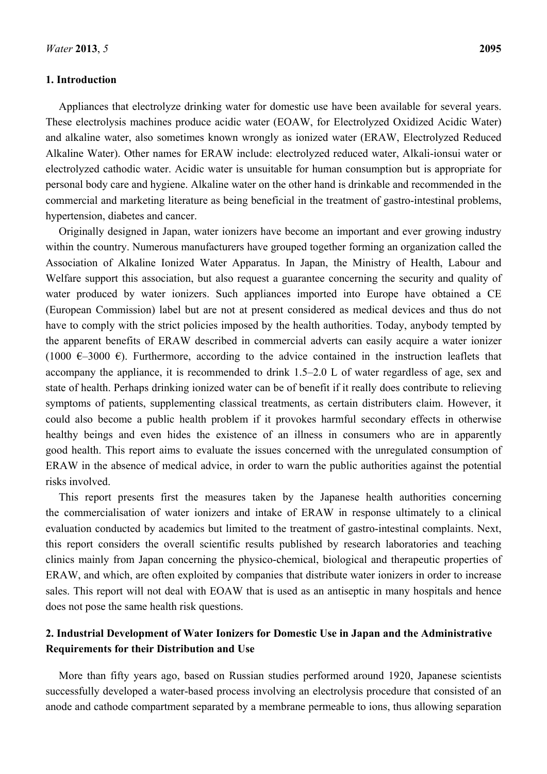#### **1. Introduction**

Appliances that electrolyze drinking water for domestic use have been available for several years. These electrolysis machines produce acidic water (EOAW, for Electrolyzed Oxidized Acidic Water) and alkaline water, also sometimes known wrongly as ionized water (ERAW, Electrolyzed Reduced Alkaline Water). Other names for ERAW include: electrolyzed reduced water, Alkali-ionsui water or electrolyzed cathodic water. Acidic water is unsuitable for human consumption but is appropriate for personal body care and hygiene. Alkaline water on the other hand is drinkable and recommended in the commercial and marketing literature as being beneficial in the treatment of gastro-intestinal problems, hypertension, diabetes and cancer.

Originally designed in Japan, water ionizers have become an important and ever growing industry within the country. Numerous manufacturers have grouped together forming an organization called the Association of Alkaline Ionized Water Apparatus. In Japan, the Ministry of Health, Labour and Welfare support this association, but also request a guarantee concerning the security and quality of water produced by water ionizers. Such appliances imported into Europe have obtained a CE (European Commission) label but are not at present considered as medical devices and thus do not have to comply with the strict policies imposed by the health authorities. Today, anybody tempted by the apparent benefits of ERAW described in commercial adverts can easily acquire a water ionizer (1000  $\epsilon$ –3000  $\epsilon$ ). Furthermore, according to the advice contained in the instruction leaflets that accompany the appliance, it is recommended to drink 1.5–2.0 L of water regardless of age, sex and state of health. Perhaps drinking ionized water can be of benefit if it really does contribute to relieving symptoms of patients, supplementing classical treatments, as certain distributers claim. However, it could also become a public health problem if it provokes harmful secondary effects in otherwise healthy beings and even hides the existence of an illness in consumers who are in apparently good health. This report aims to evaluate the issues concerned with the unregulated consumption of ERAW in the absence of medical advice, in order to warn the public authorities against the potential risks involved.

This report presents first the measures taken by the Japanese health authorities concerning the commercialisation of water ionizers and intake of ERAW in response ultimately to a clinical evaluation conducted by academics but limited to the treatment of gastro-intestinal complaints. Next, this report considers the overall scientific results published by research laboratories and teaching clinics mainly from Japan concerning the physico-chemical, biological and therapeutic properties of ERAW, and which, are often exploited by companies that distribute water ionizers in order to increase sales. This report will not deal with EOAW that is used as an antiseptic in many hospitals and hence does not pose the same health risk questions.

# **2. Industrial Development of Water Ionizers for Domestic Use in Japan and the Administrative Requirements for their Distribution and Use**

More than fifty years ago, based on Russian studies performed around 1920, Japanese scientists successfully developed a water-based process involving an electrolysis procedure that consisted of an anode and cathode compartment separated by a membrane permeable to ions, thus allowing separation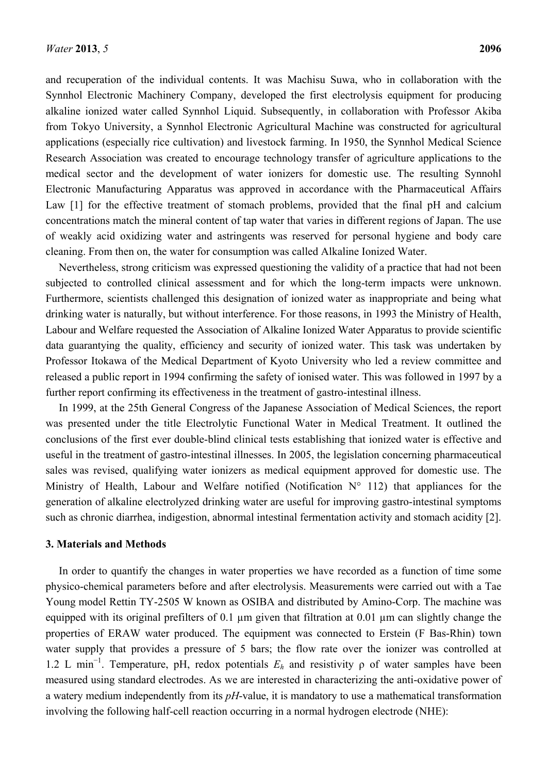and recuperation of the individual contents. It was Machisu Suwa, who in collaboration with the Synnhol Electronic Machinery Company, developed the first electrolysis equipment for producing alkaline ionized water called Synnhol Liquid. Subsequently, in collaboration with Professor Akiba from Tokyo University, a Synnhol Electronic Agricultural Machine was constructed for agricultural applications (especially rice cultivation) and livestock farming. In 1950, the Synnhol Medical Science Research Association was created to encourage technology transfer of agriculture applications to the medical sector and the development of water ionizers for domestic use. The resulting Synnohl Electronic Manufacturing Apparatus was approved in accordance with the Pharmaceutical Affairs Law [1] for the effective treatment of stomach problems, provided that the final pH and calcium concentrations match the mineral content of tap water that varies in different regions of Japan. The use of weakly acid oxidizing water and astringents was reserved for personal hygiene and body care cleaning. From then on, the water for consumption was called Alkaline Ionized Water.

Nevertheless, strong criticism was expressed questioning the validity of a practice that had not been subjected to controlled clinical assessment and for which the long-term impacts were unknown. Furthermore, scientists challenged this designation of ionized water as inappropriate and being what drinking water is naturally, but without interference. For those reasons, in 1993 the Ministry of Health, Labour and Welfare requested the Association of Alkaline Ionized Water Apparatus to provide scientific data guarantying the quality, efficiency and security of ionized water. This task was undertaken by Professor Itokawa of the Medical Department of Kyoto University who led a review committee and released a public report in 1994 confirming the safety of ionised water. This was followed in 1997 by a further report confirming its effectiveness in the treatment of gastro-intestinal illness.

In 1999, at the 25th General Congress of the Japanese Association of Medical Sciences, the report was presented under the title Electrolytic Functional Water in Medical Treatment. It outlined the conclusions of the first ever double-blind clinical tests establishing that ionized water is effective and useful in the treatment of gastro-intestinal illnesses. In 2005, the legislation concerning pharmaceutical sales was revised, qualifying water ionizers as medical equipment approved for domestic use. The Ministry of Health, Labour and Welfare notified (Notification N° 112) that appliances for the generation of alkaline electrolyzed drinking water are useful for improving gastro-intestinal symptoms such as chronic diarrhea, indigestion, abnormal intestinal fermentation activity and stomach acidity [2].

#### **3. Materials and Methods**

In order to quantify the changes in water properties we have recorded as a function of time some physico-chemical parameters before and after electrolysis. Measurements were carried out with a Tae Young model Rettin TY-2505 W known as OSIBA and distributed by Amino-Corp. The machine was equipped with its original prefilters of 0.1 µm given that filtration at 0.01 µm can slightly change the properties of ERAW water produced. The equipment was connected to Erstein (F Bas-Rhin) town water supply that provides a pressure of 5 bars; the flow rate over the ionizer was controlled at 1.2 L min<sup>−</sup><sup>1</sup> . Temperature, pH, redox potentials *Eh* and resistivity ρ of water samples have been measured using standard electrodes. As we are interested in characterizing the anti-oxidative power of a watery medium independently from its *pH*-value, it is mandatory to use a mathematical transformation involving the following half-cell reaction occurring in a normal hydrogen electrode (NHE):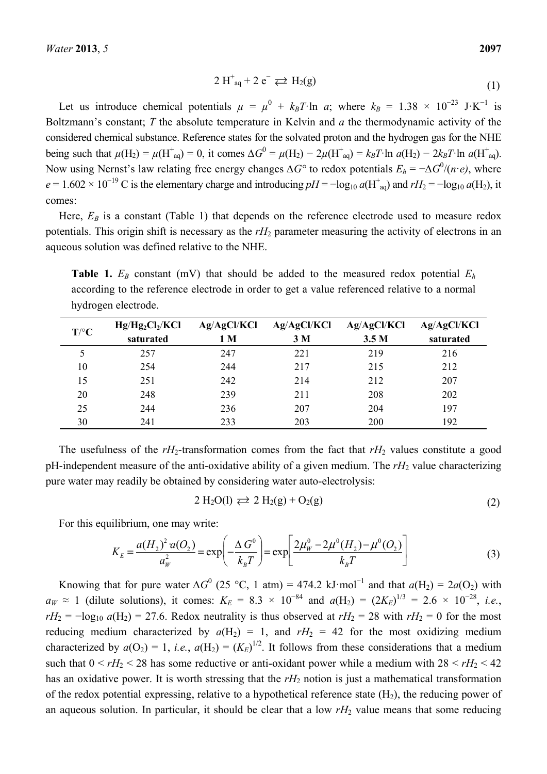$$
2 H^{\dagger}_{aq} + 2 e^- \rightleftarrows H_2(g) \tag{1}
$$

Let us introduce chemical potentials  $\mu = \mu^0 + k_B T \cdot \ln a$ ; where  $k_B = 1.38 \times 10^{-23}$  J·K<sup>-1</sup> is Boltzmann's constant; *T* the absolute temperature in Kelvin and *a* the thermodynamic activity of the considered chemical substance. Reference states for the solvated proton and the hydrogen gas for the NHE being such that  $\mu$ (H<sub>2</sub>) =  $\mu$ (H<sup>+</sup><sub>aq</sub>)</sub> = 0, it comes  $\Delta G^0 = \mu$ (H<sub>2</sub>) − 2 $\mu$ (H<sup>+</sup><sub>aq</sub>)</sub> =  $k_B T$ ·ln *a*(H<sub>2</sub>) − 2 $k_B T$ ·ln *a*(H<sup>+</sup><sub>aq</sub>). Now using Nernst's law relating free energy changes *∆G°* to redox potentials *Eh* = −*∆G*<sup>0</sup> /(*n*·*e)*, where  $e = 1.602 \times 10^{-19}$  C is the elementary charge and introducing  $pH = -\log_{10} a(H_{aq}^+)$  and  $rH_2 = -\log_{10} a(H_2)$ , it comes:

Here,  $E_B$  is a constant (Table 1) that depends on the reference electrode used to measure redox potentials. This origin shift is necessary as the  $rH_2$  parameter measuring the activity of electrons in an aqueous solution was defined relative to the NHE.

**Table 1.**  $E_B$  constant (mV) that should be added to the measured redox potential  $E_h$ according to the reference electrode in order to get a value referenced relative to a normal hydrogen electrode.

| $T$ <sup>o</sup> $C$ | $Hg/Hg_2Cl_2/KCl$ | Ag/AgCl/KCl    | Ag/AgCl/KCl    | Ag/AgCl/KCl      | Ag/AgCl/KCl |
|----------------------|-------------------|----------------|----------------|------------------|-------------|
|                      | saturated         | 1 <sub>M</sub> | 3 <sub>M</sub> | 3.5 <sub>M</sub> | saturated   |
|                      | 257               | 247            | 221            | 219              | 216         |
| 10                   | 254               | 244            | 217            | 215              | 212         |
| 15                   | 251               | 242            | 214            | 212              | 207         |
| 20                   | 248               | 239            | 211            | 208              | 202         |
| 25                   | 244               | 236            | 207            | 204              | 197         |
| 30                   | 241               | 233            | 203            | 200              | 192         |

The usefulness of the  $rH_2$ -transformation comes from the fact that  $rH_2$  values constitute a good pH-independent measure of the anti-oxidative ability of a given medium. The *rH*2 value characterizing pure water may readily be obtained by considering water auto-electrolysis:

$$
2 H2O(l) \rightleftarrows 2 H2(g) + O2(g)
$$
 (2)

For this equilibrium, one may write:

$$
K_E = \frac{a(H_2)^2 a(O_2)}{a_W^2} = \exp\left(-\frac{\Delta G^0}{k_B T}\right) = \exp\left[\frac{2\mu_W^0 - 2\mu^0(H_2) - \mu^0(O_2)}{k_B T}\right]
$$
(3)

Knowing that for pure water  $\Delta G^0$  (25 °C, 1 atm) = 474.2 kJ·mol<sup>-1</sup> and that  $a(H_2) = 2a(O_2)$  with  $a_W \approx 1$  (dilute solutions), it comes:  $K_E = 8.3 \times 10^{-84}$  and  $a(H_2) = (2K_E)^{1/3} = 2.6 \times 10^{-28}$ , *i.e.*,  $rH_2 = -\log_{10} a(H_2) = 27.6$ . Redox neutrality is thus observed at  $rH_2 = 28$  with  $rH_2 = 0$  for the most reducing medium characterized by  $a(H_2) = 1$ , and  $rH_2 = 42$  for the most oxidizing medium characterized by  $a(O_2) = 1$ , *i.e.*,  $a(H_2) = (K_E)^{1/2}$ . It follows from these considerations that a medium such that  $0 \le rH_2 \le 28$  has some reductive or anti-oxidant power while a medium with  $28 \le rH_2 \le 42$ has an oxidative power. It is worth stressing that the  $rH_2$  notion is just a mathematical transformation of the redox potential expressing, relative to a hypothetical reference state  $(H_2)$ , the reducing power of an aqueous solution. In particular, it should be clear that a low  $rH_2$  value means that some reducing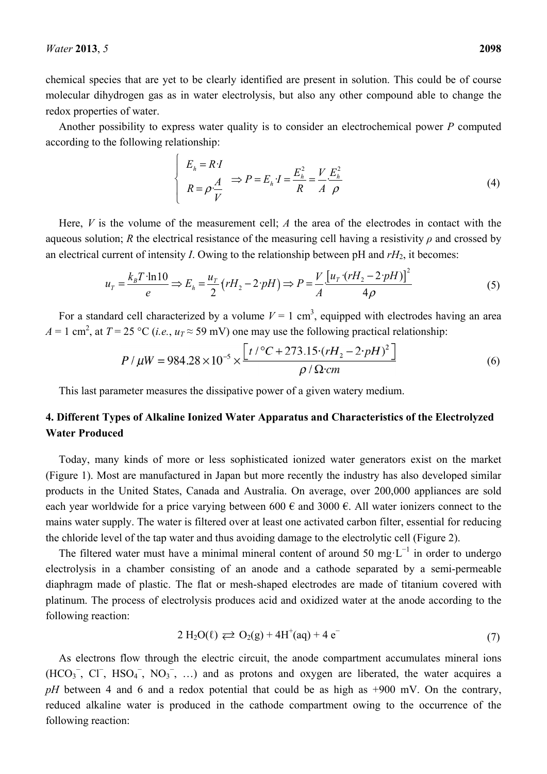chemical species that are yet to be clearly identified are present in solution. This could be of course molecular dihydrogen gas as in water electrolysis, but also any other compound able to change the redox properties of water.

Another possibility to express water quality is to consider an electrochemical power *P* computed according to the following relationship:

$$
\begin{cases}\nE_h = R \cdot I \\
R = \rho \frac{A}{V}\n\end{cases}\n\Rightarrow P = E_h \cdot I = \frac{E_h^2}{R} = \frac{V}{A} \frac{E_h^2}{\rho}
$$
\n(4)

Here, *V* is the volume of the measurement cell; *A* the area of the electrodes in contact with the aqueous solution; *R* the electrical resistance of the measuring cell having a resistivity *ρ* and crossed by an electrical current of intensity *I*. Owing to the relationship between pH and  $rH_2$ , it becomes:

$$
u_{T} = \frac{k_{B}T \cdot \ln 10}{e} \Rightarrow E_{h} = \frac{u_{T}}{2} (rH_{2} - 2 \cdot pH) \Rightarrow P = \frac{V}{A} \frac{\left[u_{T} \cdot (rH_{2} - 2 \cdot pH)\right]^{2}}{4\rho}
$$
(5)

For a standard cell characterized by a volume  $V = 1$  cm<sup>3</sup>, equipped with electrodes having an area  $A = 1$  cm<sup>2</sup>, at  $T = 25$  °C (*i.e.*,  $u_T \approx 59$  mV) one may use the following practical relationship:

$$
P/\mu W = 984.28 \times 10^{-5} \times \frac{\left[t/^{\circ}C + 273.15 \cdot (rH_2 - 2 \cdot pH)^2\right]}{\rho/\Omega \cdot cm}
$$
(6)

This last parameter measures the dissipative power of a given watery medium.

# **4. Different Types of Alkaline Ionized Water Apparatus and Characteristics of the Electrolyzed Water Produced**

Today, many kinds of more or less sophisticated ionized water generators exist on the market (Figure 1). Most are manufactured in Japan but more recently the industry has also developed similar products in the United States, Canada and Australia. On average, over 200,000 appliances are sold each year worldwide for a price varying between 600  $\epsilon$  and 3000  $\epsilon$ . All water ionizers connect to the mains water supply. The water is filtered over at least one activated carbon filter, essential for reducing the chloride level of the tap water and thus avoiding damage to the electrolytic cell (Figure 2).

The filtered water must have a minimal mineral content of around 50 mg⋅L<sup>-1</sup> in order to undergo electrolysis in a chamber consisting of an anode and a cathode separated by a semi-permeable diaphragm made of plastic. The flat or mesh-shaped electrodes are made of titanium covered with platinum. The process of electrolysis produces acid and oxidized water at the anode according to the following reaction:

$$
2 H_2O(\ell) \rightleftarrows O_2(g) + 4H^+(aq) + 4 e^-(7)
$$

As electrons flow through the electric circuit, the anode compartment accumulates mineral ions  $(HCO<sub>3</sub><sup>-</sup>, CI<sup>-</sup>, HSO<sub>4</sub><sup>-</sup>, NO<sub>3</sub><sup>-</sup>, ...)$  and as protons and oxygen are liberated, the water acquires a *pH* between 4 and 6 and a redox potential that could be as high as +900 mV. On the contrary, reduced alkaline water is produced in the cathode compartment owing to the occurrence of the following reaction: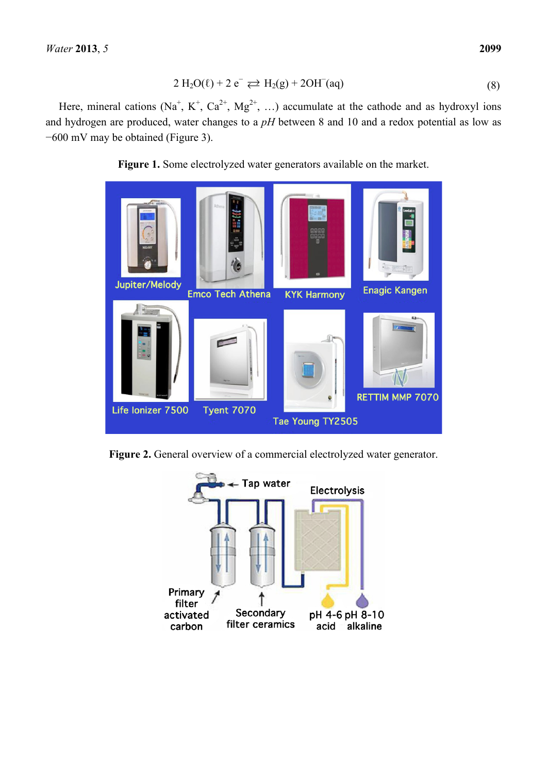$$
2 H2O(\ell) + 2 e^- \rightleftarrows H2(g) + 2OH^-(aq)
$$
\n(8)

Here, mineral cations (Na<sup>+</sup>, K<sup>+</sup>, Ca<sup>2+</sup>, Mg<sup>2+</sup>, ...) accumulate at the cathode and as hydroxyl ions and hydrogen are produced, water changes to a *pH* between 8 and 10 and a redox potential as low as −600 mV may be obtained (Figure 3).





**Figure 2.** General overview of a commercial electrolyzed water generator.

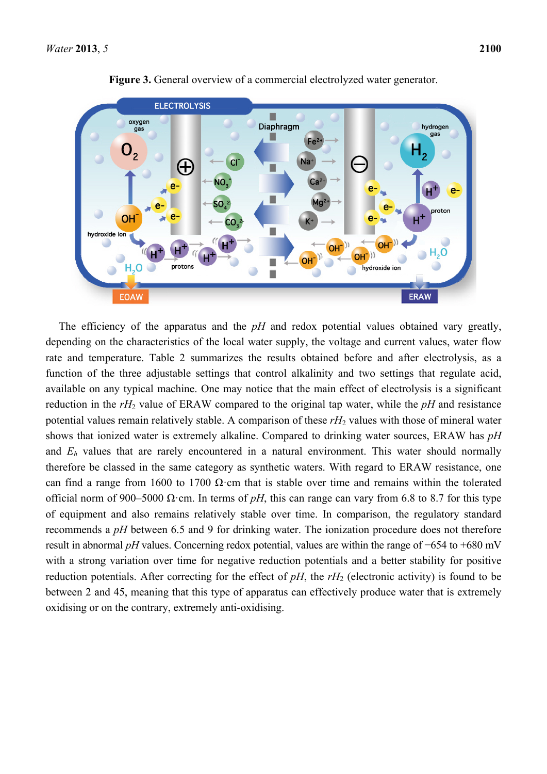

**Figure 3.** General overview of a commercial electrolyzed water generator.

The efficiency of the apparatus and the *pH* and redox potential values obtained vary greatly, depending on the characteristics of the local water supply, the voltage and current values, water flow rate and temperature. Table 2 summarizes the results obtained before and after electrolysis, as a function of the three adjustable settings that control alkalinity and two settings that regulate acid, available on any typical machine. One may notice that the main effect of electrolysis is a significant reduction in the *rH*2 value of ERAW compared to the original tap water, while the *pH* and resistance potential values remain relatively stable. A comparison of these rH<sub>2</sub> values with those of mineral water shows that ionized water is extremely alkaline. Compared to drinking water sources, ERAW has *pH* and  $E<sub>h</sub>$  values that are rarely encountered in a natural environment. This water should normally therefore be classed in the same category as synthetic waters. With regard to ERAW resistance, one can find a range from 1600 to 1700  $\Omega$ ·cm that is stable over time and remains within the tolerated official norm of 900–5000 Ω·cm. In terms of *pH*, this can range can vary from 6.8 to 8.7 for this type of equipment and also remains relatively stable over time. In comparison, the regulatory standard recommends a *pH* between 6.5 and 9 for drinking water. The ionization procedure does not therefore result in abnormal *pH* values. Concerning redox potential, values are within the range of −654 to +680 mV with a strong variation over time for negative reduction potentials and a better stability for positive reduction potentials. After correcting for the effect of  $pH$ , the  $rH_2$  (electronic activity) is found to be between 2 and 45, meaning that this type of apparatus can effectively produce water that is extremely oxidising or on the contrary, extremely anti-oxidising.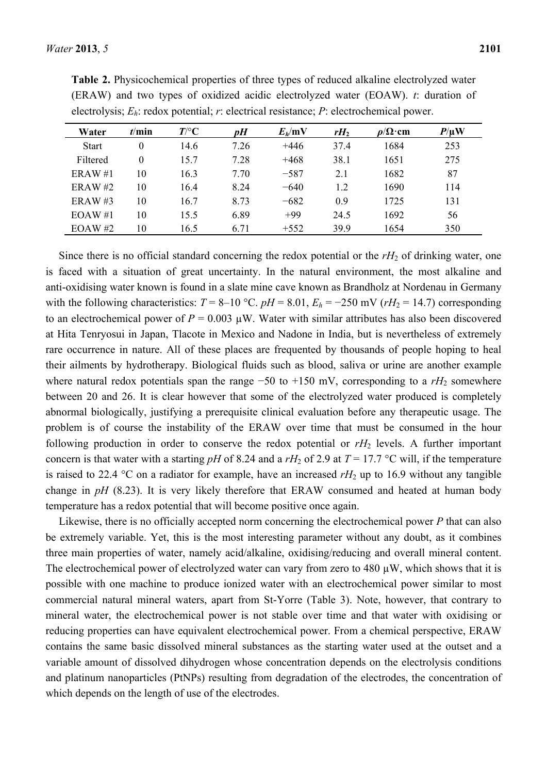| Water        | t/min    | $T$ /°C | pH   | $E_h$ /mV | $rH_2$ | $\rho/\Omega$ ·cm | $P/\mu$ W |
|--------------|----------|---------|------|-----------|--------|-------------------|-----------|
| <b>Start</b> | 0        | 14.6    | 7.26 | $+446$    | 37.4   | 1684              | 253       |
| Filtered     | $\theta$ | 15.7    | 7.28 | $+468$    | 38.1   | 1651              | 275       |
| ERAW#1       | 10       | 16.3    | 7.70 | $-587$    | 2.1    | 1682              | 87        |
| ERAW#2       | 10       | 16.4    | 8.24 | $-640$    | 1.2    | 1690              | 114       |
| ERAW#3       | 10       | 16.7    | 8.73 | $-682$    | 0.9    | 1725              | 131       |
| EOAW#1       | 10       | 15.5    | 6.89 | $+99$     | 24.5   | 1692              | 56        |
| EOAW #2      | 10       | 16.5    | 6.71 | $+552$    | 399    | 1654              | 350       |

**Table 2.** Physicochemical properties of three types of reduced alkaline electrolyzed water (ERAW) and two types of oxidized acidic electrolyzed water (EOAW). *t*: duration of electrolysis; *Eh*: redox potential; *r*: electrical resistance; *P*: electrochemical power.

Since there is no official standard concerning the redox potential or the  $rH_2$  of drinking water, one is faced with a situation of great uncertainty. In the natural environment, the most alkaline and anti-oxidising water known is found in a slate mine cave known as Brandholz at Nordenau in Germany with the following characteristics:  $T = 8-10$  °C.  $pH = 8.01$ ,  $E_h = -250$  mV ( $rH_2 = 14.7$ ) corresponding to an electrochemical power of  $P = 0.003 \mu W$ . Water with similar attributes has also been discovered at Hita Tenryosui in Japan, Tlacote in Mexico and Nadone in India, but is nevertheless of extremely rare occurrence in nature. All of these places are frequented by thousands of people hoping to heal their ailments by hydrotherapy. Biological fluids such as blood, saliva or urine are another example where natural redox potentials span the range  $-50$  to  $+150$  mV, corresponding to a  $rH_2$  somewhere between 20 and 26. It is clear however that some of the electrolyzed water produced is completely abnormal biologically, justifying a prerequisite clinical evaluation before any therapeutic usage. The problem is of course the instability of the ERAW over time that must be consumed in the hour following production in order to conserve the redox potential or  $rH_2$  levels. A further important concern is that water with a starting *pH* of 8.24 and a  $rH_2$  of 2.9 at  $T = 17.7$  °C will, if the temperature is raised to 22.4 °C on a radiator for example, have an increased  $rH_2$  up to 16.9 without any tangible change in *pH* (8.23). It is very likely therefore that ERAW consumed and heated at human body temperature has a redox potential that will become positive once again.

Likewise, there is no officially accepted norm concerning the electrochemical power *P* that can also be extremely variable. Yet, this is the most interesting parameter without any doubt, as it combines three main properties of water, namely acid/alkaline, oxidising/reducing and overall mineral content. The electrochemical power of electrolyzed water can vary from zero to 480 µW, which shows that it is possible with one machine to produce ionized water with an electrochemical power similar to most commercial natural mineral waters, apart from St-Yorre (Table 3). Note, however, that contrary to mineral water, the electrochemical power is not stable over time and that water with oxidising or reducing properties can have equivalent electrochemical power. From a chemical perspective, ERAW contains the same basic dissolved mineral substances as the starting water used at the outset and a variable amount of dissolved dihydrogen whose concentration depends on the electrolysis conditions and platinum nanoparticles (PtNPs) resulting from degradation of the electrodes, the concentration of which depends on the length of use of the electrodes.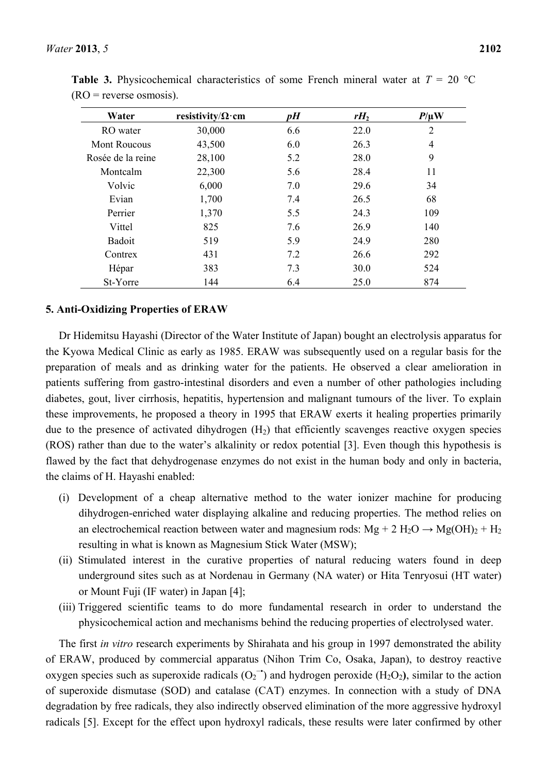| Water               | resistivity/ $\Omega$ ·cm | pH  | $rH_2$ | $P/\mu$ W      |
|---------------------|---------------------------|-----|--------|----------------|
| RO water            | 30,000                    | 6.6 | 22.0   | $\overline{2}$ |
| <b>Mont Roucous</b> | 43,500                    | 6.0 | 26.3   | 4              |
| Rosée de la reine   | 28,100                    | 5.2 | 28.0   | 9              |
| Montcalm            | 22,300                    | 5.6 | 28.4   | 11             |
| Volvic              | 6,000                     | 7.0 | 29.6   | 34             |
| Evian               | 1,700                     | 7.4 | 26.5   | 68             |
| Perrier             | 1,370                     | 5.5 | 24.3   | 109            |
| Vittel              | 825                       | 7.6 | 26.9   | 140            |
| Badoit              | 519                       | 5.9 | 24.9   | 280            |
| Contrex             | 431                       | 7.2 | 26.6   | 292            |
| Hépar               | 383                       | 7.3 | 30.0   | 524            |
| St-Yorre            | 144                       | 6.4 | 25.0   | 874            |

**Table 3.** Physicochemical characteristics of some French mineral water at  $T = 20 \degree C$  $(RO = reverse osmosis)$ .

#### **5. Anti-Oxidizing Properties of ERAW**

Dr Hidemitsu Hayashi (Director of the Water Institute of Japan) bought an electrolysis apparatus for the Kyowa Medical Clinic as early as 1985. ERAW was subsequently used on a regular basis for the preparation of meals and as drinking water for the patients. He observed a clear amelioration in patients suffering from gastro-intestinal disorders and even a number of other pathologies including diabetes, gout, liver cirrhosis, hepatitis, hypertension and malignant tumours of the liver. To explain these improvements, he proposed a theory in 1995 that ERAW exerts it healing properties primarily due to the presence of activated dihydrogen  $(H<sub>2</sub>)$  that efficiently scavenges reactive oxygen species (ROS) rather than due to the water's alkalinity or redox potential [3]. Even though this hypothesis is flawed by the fact that dehydrogenase enzymes do not exist in the human body and only in bacteria, the claims of H. Hayashi enabled:

- (i) Development of a cheap alternative method to the water ionizer machine for producing dihydrogen-enriched water displaying alkaline and reducing properties. The method relies on an electrochemical reaction between water and magnesium rods:  $Mg + 2 H<sub>2</sub>O \rightarrow Mg(OH)<sub>2</sub> + H<sub>2</sub>$ resulting in what is known as Magnesium Stick Water (MSW);
- (ii) Stimulated interest in the curative properties of natural reducing waters found in deep underground sites such as at Nordenau in Germany (NA water) or Hita Tenryosui (HT water) or Mount Fuji (IF water) in Japan [4];
- (iii) Triggered scientific teams to do more fundamental research in order to understand the physicochemical action and mechanisms behind the reducing properties of electrolysed water.

The first *in vitro* research experiments by Shirahata and his group in 1997 demonstrated the ability of ERAW, produced by commercial apparatus (Nihon Trim Co, Osaka, Japan), to destroy reactive oxygen species such as superoxide radicals  $(O_2^{\bullet})$  and hydrogen peroxide  $(H_2O_2)$ , similar to the action of superoxide dismutase (SOD) and catalase (CAT) enzymes. In connection with a study of DNA degradation by free radicals, they also indirectly observed elimination of the more aggressive hydroxyl radicals [5]. Except for the effect upon hydroxyl radicals, these results were later confirmed by other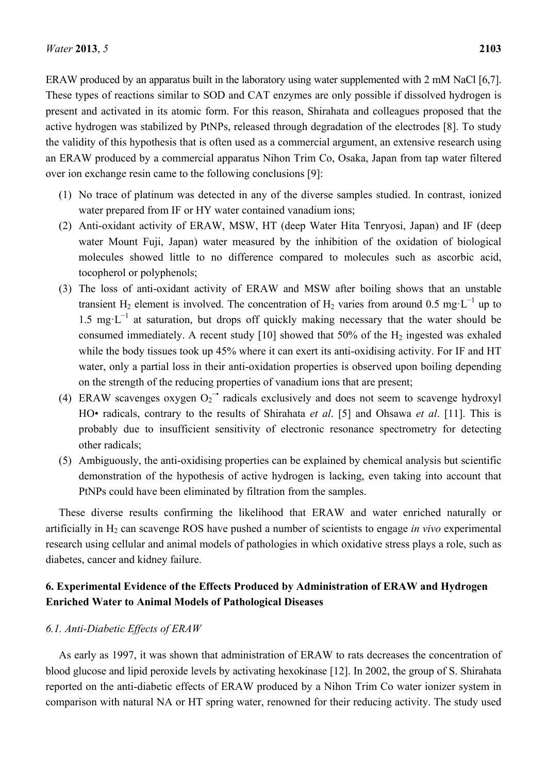ERAW produced by an apparatus built in the laboratory using water supplemented with 2 mM NaCl [6,7]. These types of reactions similar to SOD and CAT enzymes are only possible if dissolved hydrogen is present and activated in its atomic form. For this reason, Shirahata and colleagues proposed that the active hydrogen was stabilized by PtNPs, released through degradation of the electrodes [8]. To study the validity of this hypothesis that is often used as a commercial argument, an extensive research using an ERAW produced by a commercial apparatus Nihon Trim Co, Osaka, Japan from tap water filtered over ion exchange resin came to the following conclusions [9]:

- (1) No trace of platinum was detected in any of the diverse samples studied. In contrast, ionized water prepared from IF or HY water contained vanadium ions;
- (2) Anti-oxidant activity of ERAW, MSW, HT (deep Water Hita Tenryosi, Japan) and IF (deep water Mount Fuji, Japan) water measured by the inhibition of the oxidation of biological molecules showed little to no difference compared to molecules such as ascorbic acid, tocopherol or polyphenols;
- (3) The loss of anti-oxidant activity of ERAW and MSW after boiling shows that an unstable transient H<sub>2</sub> element is involved. The concentration of H<sub>2</sub> varies from around 0.5 mg⋅L<sup>-1</sup> up to 1.5 mg·L<sup>−</sup><sup>1</sup> at saturation, but drops off quickly making necessary that the water should be consumed immediately. A recent study  $[10]$  showed that 50% of the  $H_2$  ingested was exhaled while the body tissues took up 45% where it can exert its anti-oxidising activity. For IF and HT water, only a partial loss in their anti-oxidation properties is observed upon boiling depending on the strength of the reducing properties of vanadium ions that are present;
- (4) ERAW scavenges oxygen  $O_2^{\bullet-}$  radicals exclusively and does not seem to scavenge hydroxyl HO• radicals, contrary to the results of Shirahata *et al*. [5] and Ohsawa *et al*. [11]. This is probably due to insufficient sensitivity of electronic resonance spectrometry for detecting other radicals;
- (5) Ambiguously, the anti-oxidising properties can be explained by chemical analysis but scientific demonstration of the hypothesis of active hydrogen is lacking, even taking into account that PtNPs could have been eliminated by filtration from the samples.

These diverse results confirming the likelihood that ERAW and water enriched naturally or artificially in H<sub>2</sub> can scavenge ROS have pushed a number of scientists to engage *in vivo* experimental research using cellular and animal models of pathologies in which oxidative stress plays a role, such as diabetes, cancer and kidney failure.

# **6. Experimental Evidence of the Effects Produced by Administration of ERAW and Hydrogen Enriched Water to Animal Models of Pathological Diseases**

## *6.1. Anti-Diabetic Effects of ERAW*

As early as 1997, it was shown that administration of ERAW to rats decreases the concentration of blood glucose and lipid peroxide levels by activating hexokinase [12]. In 2002, the group of S. Shirahata reported on the anti-diabetic effects of ERAW produced by a Nihon Trim Co water ionizer system in comparison with natural NA or HT spring water, renowned for their reducing activity. The study used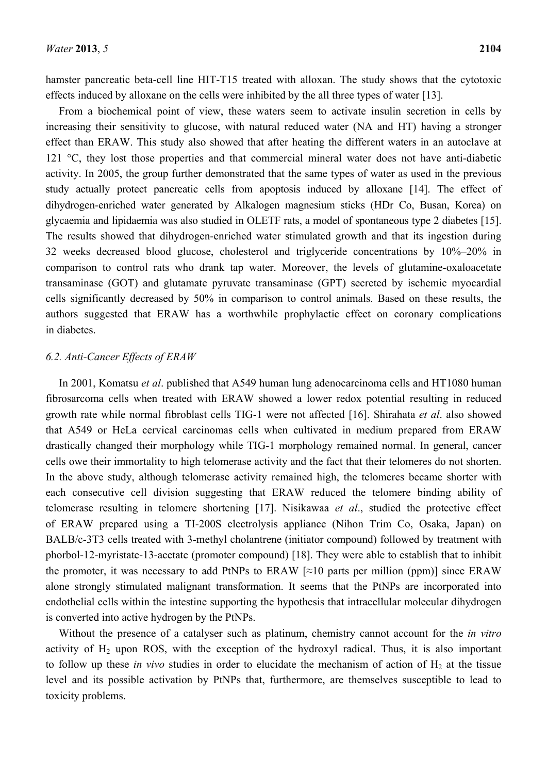hamster pancreatic beta-cell line HIT-T15 treated with alloxan. The study shows that the cytotoxic effects induced by alloxane on the cells were inhibited by the all three types of water [13].

From a biochemical point of view, these waters seem to activate insulin secretion in cells by increasing their sensitivity to glucose, with natural reduced water (NA and HT) having a stronger effect than ERAW. This study also showed that after heating the different waters in an autoclave at 121 °C, they lost those properties and that commercial mineral water does not have anti-diabetic activity. In 2005, the group further demonstrated that the same types of water as used in the previous study actually protect pancreatic cells from apoptosis induced by alloxane [14]. The effect of dihydrogen-enriched water generated by Alkalogen magnesium sticks (HDr Co, Busan, Korea) on glycaemia and lipidaemia was also studied in OLETF rats, a model of spontaneous type 2 diabetes [15]. The results showed that dihydrogen-enriched water stimulated growth and that its ingestion during 32 weeks decreased blood glucose, cholesterol and triglyceride concentrations by 10%–20% in comparison to control rats who drank tap water. Moreover, the levels of glutamine-oxaloacetate transaminase (GOT) and glutamate pyruvate transaminase (GPT) secreted by ischemic myocardial cells significantly decreased by 50% in comparison to control animals. Based on these results, the authors suggested that ERAW has a worthwhile prophylactic effect on coronary complications in diabetes.

## *6.2. Anti-Cancer Effects of ERAW*

In 2001, Komatsu *et al*. published that A549 human lung adenocarcinoma cells and HT1080 human fibrosarcoma cells when treated with ERAW showed a lower redox potential resulting in reduced growth rate while normal fibroblast cells TIG-1 were not affected [16]. Shirahata *et al*. also showed that A549 or HeLa cervical carcinomas cells when cultivated in medium prepared from ERAW drastically changed their morphology while TIG-1 morphology remained normal. In general, cancer cells owe their immortality to high telomerase activity and the fact that their telomeres do not shorten. In the above study, although telomerase activity remained high, the telomeres became shorter with each consecutive cell division suggesting that ERAW reduced the telomere binding ability of telomerase resulting in telomere shortening [17]. Nisikawaa *et al*., studied the protective effect of ERAW prepared using a TI-200S electrolysis appliance (Nihon Trim Co, Osaka, Japan) on BALB/c-3T3 cells treated with 3-methyl cholantrene (initiator compound) followed by treatment with phorbol-12-myristate-13-acetate (promoter compound) [18]. They were able to establish that to inhibit the promoter, it was necessary to add PtNPs to ERAW  $\lceil z \rceil$  parts per million (ppm)] since ERAW alone strongly stimulated malignant transformation. It seems that the PtNPs are incorporated into endothelial cells within the intestine supporting the hypothesis that intracellular molecular dihydrogen is converted into active hydrogen by the PtNPs.

Without the presence of a catalyser such as platinum, chemistry cannot account for the *in vitro* activity of  $H_2$  upon ROS, with the exception of the hydroxyl radical. Thus, it is also important to follow up these *in vivo* studies in order to elucidate the mechanism of action of  $H<sub>2</sub>$  at the tissue level and its possible activation by PtNPs that, furthermore, are themselves susceptible to lead to toxicity problems.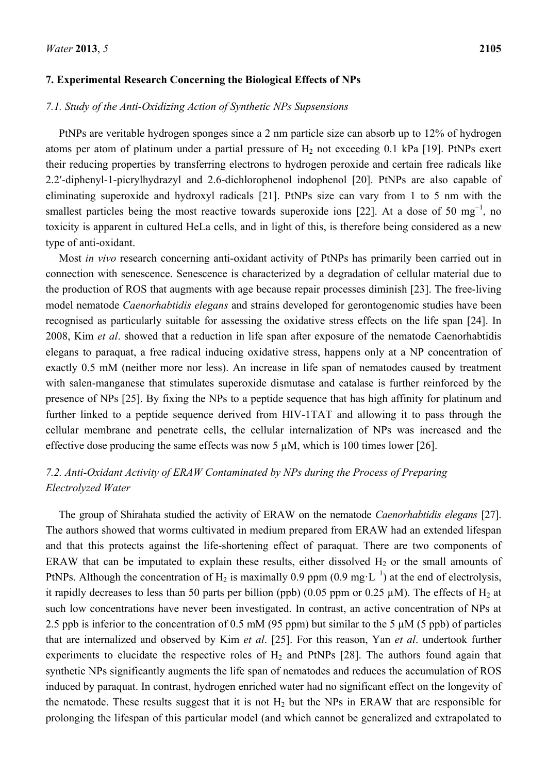#### **7. Experimental Research Concerning the Biological Effects of NPs**

## *7.1. Study of the Anti-Oxidizing Action of Synthetic NPs Supsensions*

PtNPs are veritable hydrogen sponges since a 2 nm particle size can absorb up to 12% of hydrogen atoms per atom of platinum under a partial pressure of  $H_2$  not exceeding 0.1 kPa [19]. PtNPs exert their reducing properties by transferring electrons to hydrogen peroxide and certain free radicals like 2.2ʹ-diphenyl-1-picrylhydrazyl and 2.6-dichlorophenol indophenol [20]. PtNPs are also capable of eliminating superoxide and hydroxyl radicals [21]. PtNPs size can vary from 1 to 5 nm with the smallest particles being the most reactive towards superoxide ions [22]. At a dose of 50 mg<sup>-1</sup>, no toxicity is apparent in cultured HeLa cells, and in light of this, is therefore being considered as a new type of anti-oxidant.

Most *in vivo* research concerning anti-oxidant activity of PtNPs has primarily been carried out in connection with senescence. Senescence is characterized by a degradation of cellular material due to the production of ROS that augments with age because repair processes diminish [23]. The free-living model nematode *Caenorhabtidis elegans* and strains developed for gerontogenomic studies have been recognised as particularly suitable for assessing the oxidative stress effects on the life span [24]. In 2008, Kim *et al*. showed that a reduction in life span after exposure of the nematode Caenorhabtidis elegans to paraquat, a free radical inducing oxidative stress, happens only at a NP concentration of exactly 0.5 mM (neither more nor less). An increase in life span of nematodes caused by treatment with salen-manganese that stimulates superoxide dismutase and catalase is further reinforced by the presence of NPs [25]. By fixing the NPs to a peptide sequence that has high affinity for platinum and further linked to a peptide sequence derived from HIV-1TAT and allowing it to pass through the cellular membrane and penetrate cells, the cellular internalization of NPs was increased and the effective dose producing the same effects was now 5  $\mu$ M, which is 100 times lower [26].

# *7.2. Anti-Oxidant Activity of ERAW Contaminated by NPs during the Process of Preparing Electrolyzed Water*

The group of Shirahata studied the activity of ERAW on the nematode *Caenorhabtidis elegans* [27]. The authors showed that worms cultivated in medium prepared from ERAW had an extended lifespan and that this protects against the life-shortening effect of paraquat. There are two components of ERAW that can be imputated to explain these results, either dissolved  $H_2$  or the small amounts of PtNPs. Although the concentration of H<sub>2</sub> is maximally 0.9 ppm (0.9 mg·L<sup>-1</sup>) at the end of electrolysis, it rapidly decreases to less than 50 parts per billion (ppb) (0.05 ppm or 0.25  $\mu$ M). The effects of H<sub>2</sub> at such low concentrations have never been investigated. In contrast, an active concentration of NPs at 2.5 ppb is inferior to the concentration of 0.5 mM (95 ppm) but similar to the 5  $\mu$ M (5 ppb) of particles that are internalized and observed by Kim *et al*. [25]. For this reason, Yan *et al*. undertook further experiments to elucidate the respective roles of  $H<sub>2</sub>$  and PtNPs [28]. The authors found again that synthetic NPs significantly augments the life span of nematodes and reduces the accumulation of ROS induced by paraquat. In contrast, hydrogen enriched water had no significant effect on the longevity of the nematode. These results suggest that it is not  $H_2$  but the NPs in ERAW that are responsible for prolonging the lifespan of this particular model (and which cannot be generalized and extrapolated to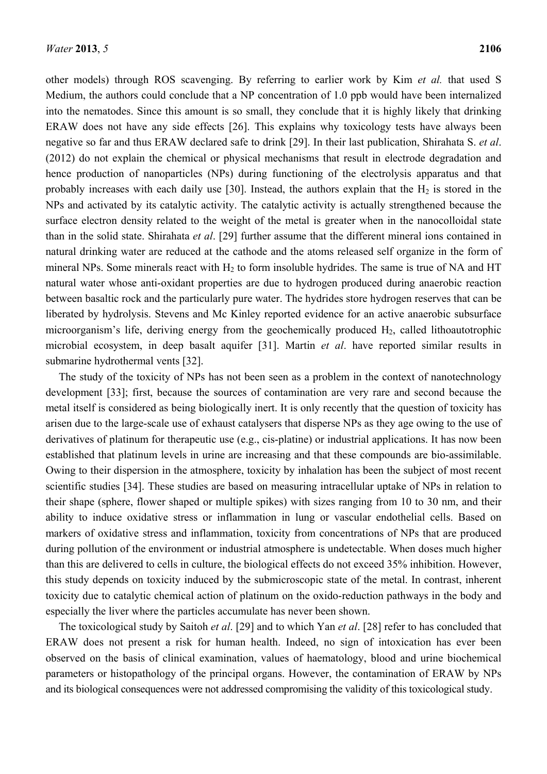other models) through ROS scavenging. By referring to earlier work by Kim *et al.* that used S Medium, the authors could conclude that a NP concentration of 1.0 ppb would have been internalized into the nematodes. Since this amount is so small, they conclude that it is highly likely that drinking ERAW does not have any side effects [26]. This explains why toxicology tests have always been negative so far and thus ERAW declared safe to drink [29]. In their last publication, Shirahata S. *et al*. (2012) do not explain the chemical or physical mechanisms that result in electrode degradation and hence production of nanoparticles (NPs) during functioning of the electrolysis apparatus and that probably increases with each daily use [30]. Instead, the authors explain that the  $H_2$  is stored in the NPs and activated by its catalytic activity. The catalytic activity is actually strengthened because the surface electron density related to the weight of the metal is greater when in the nanocolloidal state than in the solid state. Shirahata *et al*. [29] further assume that the different mineral ions contained in natural drinking water are reduced at the cathode and the atoms released self organize in the form of mineral NPs. Some minerals react with  $H_2$  to form insoluble hydrides. The same is true of NA and HT natural water whose anti-oxidant properties are due to hydrogen produced during anaerobic reaction between basaltic rock and the particularly pure water. The hydrides store hydrogen reserves that can be liberated by hydrolysis. Stevens and Mc Kinley reported evidence for an active anaerobic subsurface microorganism's life, deriving energy from the geochemically produced H<sub>2</sub>, called lithoautotrophic microbial ecosystem, in deep basalt aquifer [31]. Martin *et al*. have reported similar results in submarine hydrothermal vents [32].

The study of the toxicity of NPs has not been seen as a problem in the context of nanotechnology development [33]; first, because the sources of contamination are very rare and second because the metal itself is considered as being biologically inert. It is only recently that the question of toxicity has arisen due to the large-scale use of exhaust catalysers that disperse NPs as they age owing to the use of derivatives of platinum for therapeutic use (e.g., cis-platine) or industrial applications. It has now been established that platinum levels in urine are increasing and that these compounds are bio-assimilable. Owing to their dispersion in the atmosphere, toxicity by inhalation has been the subject of most recent scientific studies [34]. These studies are based on measuring intracellular uptake of NPs in relation to their shape (sphere, flower shaped or multiple spikes) with sizes ranging from 10 to 30 nm, and their ability to induce oxidative stress or inflammation in lung or vascular endothelial cells. Based on markers of oxidative stress and inflammation, toxicity from concentrations of NPs that are produced during pollution of the environment or industrial atmosphere is undetectable. When doses much higher than this are delivered to cells in culture, the biological effects do not exceed 35% inhibition. However, this study depends on toxicity induced by the submicroscopic state of the metal. In contrast, inherent toxicity due to catalytic chemical action of platinum on the oxido-reduction pathways in the body and especially the liver where the particles accumulate has never been shown.

The toxicological study by Saitoh *et al*. [29] and to which Yan *et al*. [28] refer to has concluded that ERAW does not present a risk for human health. Indeed, no sign of intoxication has ever been observed on the basis of clinical examination, values of haematology, blood and urine biochemical parameters or histopathology of the principal organs. However, the contamination of ERAW by NPs and its biological consequences were not addressed compromising the validity of this toxicological study.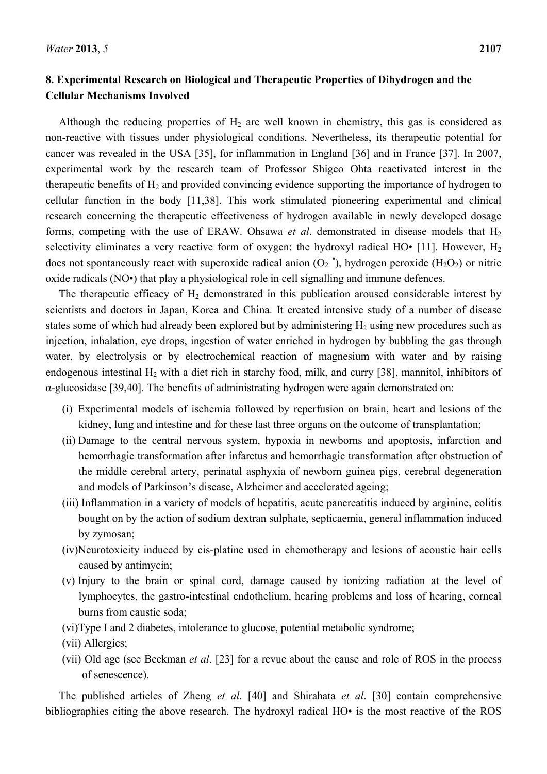# **8. Experimental Research on Biological and Therapeutic Properties of Dihydrogen and the Cellular Mechanisms Involved**

Although the reducing properties of  $H_2$  are well known in chemistry, this gas is considered as non-reactive with tissues under physiological conditions. Nevertheless, its therapeutic potential for cancer was revealed in the USA [35], for inflammation in England [36] and in France [37]. In 2007, experimental work by the research team of Professor Shigeo Ohta reactivated interest in the therapeutic benefits of  $H_2$  and provided convincing evidence supporting the importance of hydrogen to cellular function in the body [11,38]. This work stimulated pioneering experimental and clinical research concerning the therapeutic effectiveness of hydrogen available in newly developed dosage forms, competing with the use of ERAW. Ohsawa *et al.* demonstrated in disease models that  $H_2$ selectivity eliminates a very reactive form of oxygen: the hydroxyl radical HO• [11]. However,  $H_2$ does not spontaneously react with superoxide radical anion  $(O_2^{\rightarrow})$ , hydrogen peroxide (H<sub>2</sub>O<sub>2</sub>) or nitric oxide radicals (NO•) that play a physiological role in cell signalling and immune defences.

The therapeutic efficacy of  $H_2$  demonstrated in this publication aroused considerable interest by scientists and doctors in Japan, Korea and China. It created intensive study of a number of disease states some of which had already been explored but by administering  $H_2$  using new procedures such as injection, inhalation, eye drops, ingestion of water enriched in hydrogen by bubbling the gas through water, by electrolysis or by electrochemical reaction of magnesium with water and by raising endogenous intestinal  $H_2$  with a diet rich in starchy food, milk, and curry [38], mannitol, inhibitors of α-glucosidase [39,40]. The benefits of administrating hydrogen were again demonstrated on:

- (i) Experimental models of ischemia followed by reperfusion on brain, heart and lesions of the kidney, lung and intestine and for these last three organs on the outcome of transplantation;
- (ii) Damage to the central nervous system, hypoxia in newborns and apoptosis, infarction and hemorrhagic transformation after infarctus and hemorrhagic transformation after obstruction of the middle cerebral artery, perinatal asphyxia of newborn guinea pigs, cerebral degeneration and models of Parkinson's disease, Alzheimer and accelerated ageing;
- (iii) Inflammation in a variety of models of hepatitis, acute pancreatitis induced by arginine, colitis bought on by the action of sodium dextran sulphate, septicaemia, general inflammation induced by zymosan;
- (iv)Neurotoxicity induced by cis-platine used in chemotherapy and lesions of acoustic hair cells caused by antimycin;
- (v) Injury to the brain or spinal cord, damage caused by ionizing radiation at the level of lymphocytes, the gastro-intestinal endothelium, hearing problems and loss of hearing, corneal burns from caustic soda;
- (vi)Type I and 2 diabetes, intolerance to glucose, potential metabolic syndrome;
- (vii) Allergies;
- (vii) Old age (see Beckman *et al*. [23] for a revue about the cause and role of ROS in the process of senescence).

The published articles of Zheng *et al*. [40] and Shirahata *et al*. [30] contain comprehensive bibliographies citing the above research. The hydroxyl radical HO• is the most reactive of the ROS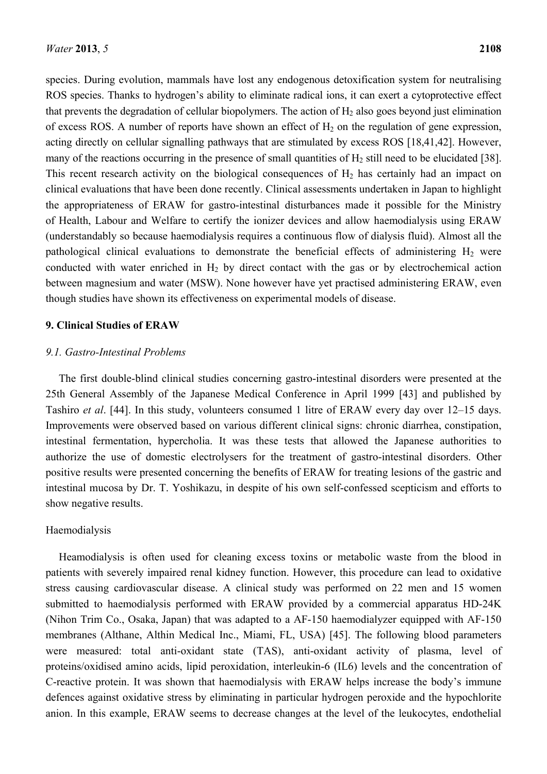species. During evolution, mammals have lost any endogenous detoxification system for neutralising ROS species. Thanks to hydrogen's ability to eliminate radical ions, it can exert a cytoprotective effect that prevents the degradation of cellular biopolymers. The action of  $H_2$  also goes beyond just elimination of excess ROS. A number of reports have shown an effect of  $H_2$  on the regulation of gene expression, acting directly on cellular signalling pathways that are stimulated by excess ROS [18,41,42]. However, many of the reactions occurring in the presence of small quantities of  $H<sub>2</sub>$  still need to be elucidated [38]. This recent research activity on the biological consequences of  $H_2$  has certainly had an impact on clinical evaluations that have been done recently. Clinical assessments undertaken in Japan to highlight the appropriateness of ERAW for gastro-intestinal disturbances made it possible for the Ministry of Health, Labour and Welfare to certify the ionizer devices and allow haemodialysis using ERAW (understandably so because haemodialysis requires a continuous flow of dialysis fluid). Almost all the pathological clinical evaluations to demonstrate the beneficial effects of administering  $H_2$  were conducted with water enriched in  $H_2$  by direct contact with the gas or by electrochemical action between magnesium and water (MSW). None however have yet practised administering ERAW, even though studies have shown its effectiveness on experimental models of disease.

#### **9. Clinical Studies of ERAW**

## *9.1. Gastro-Intestinal Problems*

The first double-blind clinical studies concerning gastro-intestinal disorders were presented at the 25th General Assembly of the Japanese Medical Conference in April 1999 [43] and published by Tashiro *et al*. [44]. In this study, volunteers consumed 1 litre of ERAW every day over 12–15 days. Improvements were observed based on various different clinical signs: chronic diarrhea, constipation, intestinal fermentation, hypercholia. It was these tests that allowed the Japanese authorities to authorize the use of domestic electrolysers for the treatment of gastro-intestinal disorders. Other positive results were presented concerning the benefits of ERAW for treating lesions of the gastric and intestinal mucosa by Dr. T. Yoshikazu, in despite of his own self-confessed scepticism and efforts to show negative results.

#### Haemodialysis

Heamodialysis is often used for cleaning excess toxins or metabolic waste from the blood in patients with severely impaired renal kidney function. However, this procedure can lead to oxidative stress causing cardiovascular disease. A clinical study was performed on 22 men and 15 women submitted to haemodialysis performed with ERAW provided by a commercial apparatus HD-24K (Nihon Trim Co., Osaka, Japan) that was adapted to a AF-150 haemodialyzer equipped with AF-150 membranes (Althane, Althin Medical Inc., Miami, FL, USA) [45]. The following blood parameters were measured: total anti-oxidant state (TAS), anti-oxidant activity of plasma, level of proteins/oxidised amino acids, lipid peroxidation, interleukin-6 (IL6) levels and the concentration of C-reactive protein. It was shown that haemodialysis with ERAW helps increase the body's immune defences against oxidative stress by eliminating in particular hydrogen peroxide and the hypochlorite anion. In this example, ERAW seems to decrease changes at the level of the leukocytes, endothelial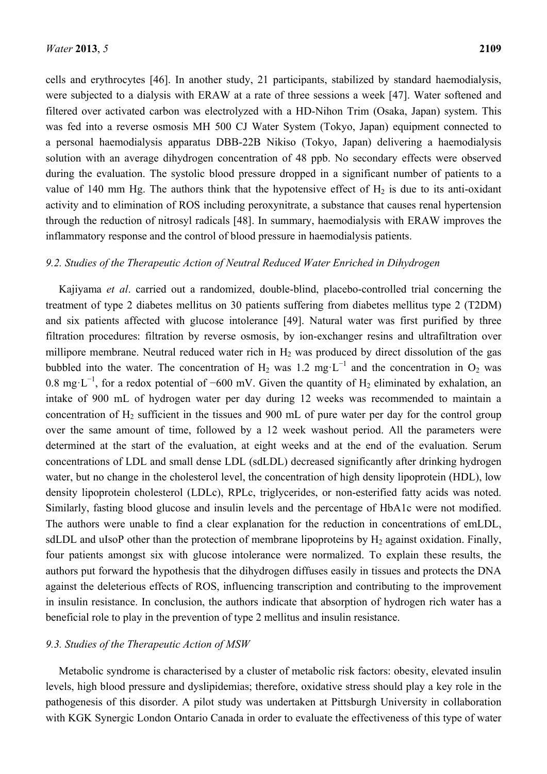cells and erythrocytes [46]. In another study, 21 participants, stabilized by standard haemodialysis, were subjected to a dialysis with ERAW at a rate of three sessions a week [47]. Water softened and filtered over activated carbon was electrolyzed with a HD-Nihon Trim (Osaka, Japan) system. This was fed into a reverse osmosis MH 500 CJ Water System (Tokyo, Japan) equipment connected to a personal haemodialysis apparatus DBB-22B Nikiso (Tokyo, Japan) delivering a haemodialysis solution with an average dihydrogen concentration of 48 ppb. No secondary effects were observed during the evaluation. The systolic blood pressure dropped in a significant number of patients to a value of 140 mm Hg. The authors think that the hypotensive effect of  $H_2$  is due to its anti-oxidant activity and to elimination of ROS including peroxynitrate, a substance that causes renal hypertension through the reduction of nitrosyl radicals [48]. In summary, haemodialysis with ERAW improves the inflammatory response and the control of blood pressure in haemodialysis patients.

#### *9.2. Studies of the Therapeutic Action of Neutral Reduced Water Enriched in Dihydrogen*

Kajiyama *et al*. carried out a randomized, double-blind, placebo-controlled trial concerning the treatment of type 2 diabetes mellitus on 30 patients suffering from diabetes mellitus type 2 (T2DM) and six patients affected with glucose intolerance [49]. Natural water was first purified by three filtration procedures: filtration by reverse osmosis, by ion-exchanger resins and ultrafiltration over millipore membrane. Neutral reduced water rich in  $H_2$  was produced by direct dissolution of the gas bubbled into the water. The concentration of H<sub>2</sub> was 1.2 mg⋅L<sup>-1</sup> and the concentration in O<sub>2</sub> was 0.8 mg⋅L<sup>-1</sup>, for a redox potential of -600 mV. Given the quantity of H<sub>2</sub> eliminated by exhalation, an intake of 900 mL of hydrogen water per day during 12 weeks was recommended to maintain a concentration of  $H_2$  sufficient in the tissues and 900 mL of pure water per day for the control group over the same amount of time, followed by a 12 week washout period. All the parameters were determined at the start of the evaluation, at eight weeks and at the end of the evaluation. Serum concentrations of LDL and small dense LDL (sdLDL) decreased significantly after drinking hydrogen water, but no change in the cholesterol level, the concentration of high density lipoprotein (HDL), low density lipoprotein cholesterol (LDLc), RPLc, triglycerides, or non-esterified fatty acids was noted. Similarly, fasting blood glucose and insulin levels and the percentage of HbA1c were not modified. The authors were unable to find a clear explanation for the reduction in concentrations of emLDL, sdLDL and uIsoP other than the protection of membrane lipoproteins by  $H<sub>2</sub>$  against oxidation. Finally, four patients amongst six with glucose intolerance were normalized. To explain these results, the authors put forward the hypothesis that the dihydrogen diffuses easily in tissues and protects the DNA against the deleterious effects of ROS, influencing transcription and contributing to the improvement in insulin resistance. In conclusion, the authors indicate that absorption of hydrogen rich water has a beneficial role to play in the prevention of type 2 mellitus and insulin resistance.

#### *9.3. Studies of the Therapeutic Action of MSW*

Metabolic syndrome is characterised by a cluster of metabolic risk factors: obesity, elevated insulin levels, high blood pressure and dyslipidemias; therefore, oxidative stress should play a key role in the pathogenesis of this disorder. A pilot study was undertaken at Pittsburgh University in collaboration with KGK Synergic London Ontario Canada in order to evaluate the effectiveness of this type of water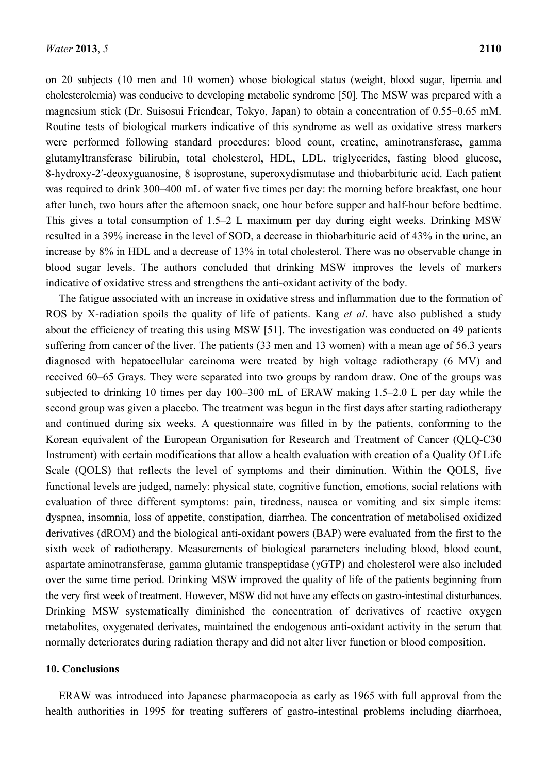on 20 subjects (10 men and 10 women) whose biological status (weight, blood sugar, lipemia and cholesterolemia) was conducive to developing metabolic syndrome [50]. The MSW was prepared with a magnesium stick (Dr. Suisosui Friendear, Tokyo, Japan) to obtain a concentration of 0.55–0.65 mM. Routine tests of biological markers indicative of this syndrome as well as oxidative stress markers were performed following standard procedures: blood count, creatine, aminotransferase, gamma glutamyltransferase bilirubin, total cholesterol, HDL, LDL, triglycerides, fasting blood glucose, 8-hydroxy-2ʹ-deoxyguanosine, 8 isoprostane, superoxydismutase and thiobarbituric acid. Each patient was required to drink 300–400 mL of water five times per day: the morning before breakfast, one hour after lunch, two hours after the afternoon snack, one hour before supper and half-hour before bedtime. This gives a total consumption of 1.5–2 L maximum per day during eight weeks. Drinking MSW resulted in a 39% increase in the level of SOD, a decrease in thiobarbituric acid of 43% in the urine, an increase by 8% in HDL and a decrease of 13% in total cholesterol. There was no observable change in blood sugar levels. The authors concluded that drinking MSW improves the levels of markers indicative of oxidative stress and strengthens the anti-oxidant activity of the body.

The fatigue associated with an increase in oxidative stress and inflammation due to the formation of ROS by X-radiation spoils the quality of life of patients. Kang *et al*. have also published a study about the efficiency of treating this using MSW [51]. The investigation was conducted on 49 patients suffering from cancer of the liver. The patients (33 men and 13 women) with a mean age of 56.3 years diagnosed with hepatocellular carcinoma were treated by high voltage radiotherapy (6 MV) and received 60–65 Grays. They were separated into two groups by random draw. One of the groups was subjected to drinking 10 times per day 100–300 mL of ERAW making 1.5–2.0 L per day while the second group was given a placebo. The treatment was begun in the first days after starting radiotherapy and continued during six weeks. A questionnaire was filled in by the patients, conforming to the Korean equivalent of the European Organisation for Research and Treatment of Cancer (QLQ-C30 Instrument) with certain modifications that allow a health evaluation with creation of a Quality Of Life Scale (QOLS) that reflects the level of symptoms and their diminution. Within the QOLS, five functional levels are judged, namely: physical state, cognitive function, emotions, social relations with evaluation of three different symptoms: pain, tiredness, nausea or vomiting and six simple items: dyspnea, insomnia, loss of appetite, constipation, diarrhea. The concentration of metabolised oxidized derivatives (dROM) and the biological anti-oxidant powers (BAP) were evaluated from the first to the sixth week of radiotherapy. Measurements of biological parameters including blood, blood count, aspartate aminotransferase, gamma glutamic transpeptidase (γGTP) and cholesterol were also included over the same time period. Drinking MSW improved the quality of life of the patients beginning from the very first week of treatment. However, MSW did not have any effects on gastro-intestinal disturbances. Drinking MSW systematically diminished the concentration of derivatives of reactive oxygen metabolites, oxygenated derivates, maintained the endogenous anti-oxidant activity in the serum that normally deteriorates during radiation therapy and did not alter liver function or blood composition.

#### **10. Conclusions**

ERAW was introduced into Japanese pharmacopoeia as early as 1965 with full approval from the health authorities in 1995 for treating sufferers of gastro-intestinal problems including diarrhoea,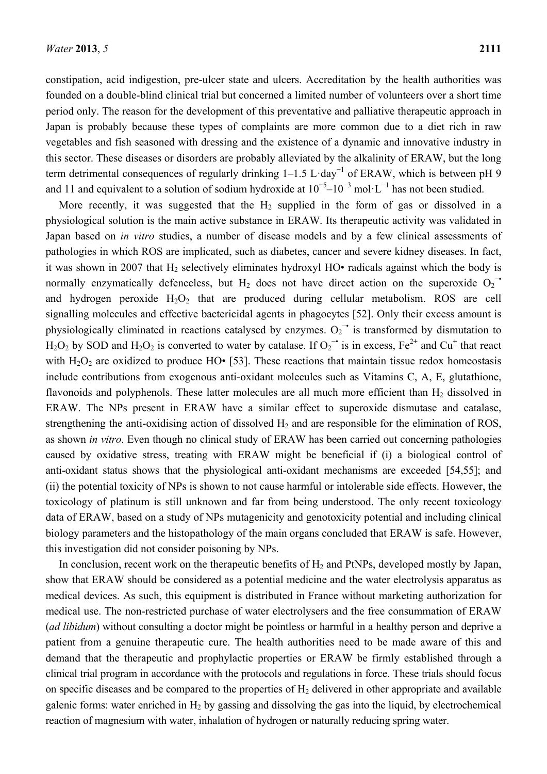constipation, acid indigestion, pre-ulcer state and ulcers. Accreditation by the health authorities was founded on a double-blind clinical trial but concerned a limited number of volunteers over a short time period only. The reason for the development of this preventative and palliative therapeutic approach in Japan is probably because these types of complaints are more common due to a diet rich in raw vegetables and fish seasoned with dressing and the existence of a dynamic and innovative industry in this sector. These diseases or disorders are probably alleviated by the alkalinity of ERAW, but the long term detrimental consequences of regularly drinking 1–1.5 L·day<sup>-1</sup> of ERAW, which is between pH 9 and 11 and equivalent to a solution of sodium hydroxide at  $10^{-5}$ – $10^{-3}$  mol·L<sup>-1</sup> has not been studied.

More recently, it was suggested that the  $H_2$  supplied in the form of gas or dissolved in a physiological solution is the main active substance in ERAW. Its therapeutic activity was validated in Japan based on *in vitro* studies, a number of disease models and by a few clinical assessments of pathologies in which ROS are implicated, such as diabetes, cancer and severe kidney diseases. In fact, it was shown in 2007 that  $H_2$  selectively eliminates hydroxyl HO• radicals against which the body is normally enzymatically defenceless, but H<sub>2</sub> does not have direct action on the superoxide  $O_2$ <sup>-•</sup> and hydrogen peroxide  $H_2O_2$  that are produced during cellular metabolism. ROS are cell signalling molecules and effective bactericidal agents in phagocytes [52]. Only their excess amount is physiologically eliminated in reactions catalysed by enzymes.  $O_2$ <sup>-•</sup> is transformed by dismutation to  $H_2O_2$  by SOD and  $H_2O_2$  is converted to water by catalase. If  $O_2^{\bullet}$  is in excess,  $Fe^{2+}$  and  $Cu^+$  that react with  $H_2O_2$  are oxidized to produce HO• [53]. These reactions that maintain tissue redox homeostasis include contributions from exogenous anti-oxidant molecules such as Vitamins C, A, E, glutathione, flavonoids and polyphenols. These latter molecules are all much more efficient than  $H_2$  dissolved in ERAW. The NPs present in ERAW have a similar effect to superoxide dismutase and catalase, strengthening the anti-oxidising action of dissolved  $H_2$  and are responsible for the elimination of ROS, as shown *in vitro*. Even though no clinical study of ERAW has been carried out concerning pathologies caused by oxidative stress, treating with ERAW might be beneficial if (i) a biological control of anti-oxidant status shows that the physiological anti-oxidant mechanisms are exceeded [54,55]; and (ii) the potential toxicity of NPs is shown to not cause harmful or intolerable side effects. However, the toxicology of platinum is still unknown and far from being understood. The only recent toxicology data of ERAW, based on a study of NPs mutagenicity and genotoxicity potential and including clinical biology parameters and the histopathology of the main organs concluded that ERAW is safe. However, this investigation did not consider poisoning by NPs.

In conclusion, recent work on the therapeutic benefits of  $H_2$  and PtNPs, developed mostly by Japan, show that ERAW should be considered as a potential medicine and the water electrolysis apparatus as medical devices. As such, this equipment is distributed in France without marketing authorization for medical use. The non-restricted purchase of water electrolysers and the free consummation of ERAW (*ad libidum*) without consulting a doctor might be pointless or harmful in a healthy person and deprive a patient from a genuine therapeutic cure. The health authorities need to be made aware of this and demand that the therapeutic and prophylactic properties or ERAW be firmly established through a clinical trial program in accordance with the protocols and regulations in force. These trials should focus on specific diseases and be compared to the properties of  $H_2$  delivered in other appropriate and available galenic forms: water enriched in  $H_2$  by gassing and dissolving the gas into the liquid, by electrochemical reaction of magnesium with water, inhalation of hydrogen or naturally reducing spring water.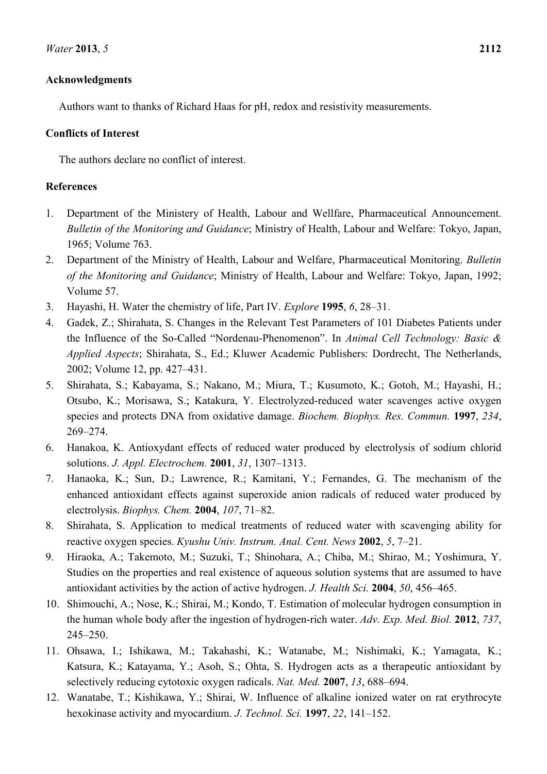# **Acknowledgments**

Authors want to thanks of Richard Haas for pH, redox and resistivity measurements.

# **Conflicts of Interest**

The authors declare no conflict of interest.

# **References**

- 1. Department of the Ministery of Health, Labour and Wellfare, Pharmaceutical Announcement. *Bulletin of the Monitoring and Guidance*; Ministry of Health, Labour and Welfare: Tokyo, Japan, 1965; Volume 763.
- 2. Department of the Ministry of Health, Labour and Welfare, Pharmaceutical Monitoring. *Bulletin of the Monitoring and Guidance*; Ministry of Health, Labour and Welfare: Tokyo, Japan, 1992; Volume 57.
- 3. Hayashi, H. Water the chemistry of life, Part IV. *Explore* **1995**, *6*, 28–31.
- 4. Gadek, Z.; Shirahata, S. Changes in the Relevant Test Parameters of 101 Diabetes Patients under the Influence of the So-Called "Nordenau-Phenomenon". In *Animal Cell Technology: Basic & Applied Aspects*; Shirahata, S., Ed.; Kluwer Academic Publishers: Dordrecht, The Netherlands, 2002; Volume 12, pp. 427–431.
- 5. Shirahata, S.; Kabayama, S.; Nakano, M.; Miura, T.; Kusumoto, K.; Gotoh, M.; Hayashi, H.; Otsubo, K.; Morisawa, S.; Katakura, Y. Electrolyzed-reduced water scavenges active oxygen species and protects DNA from oxidative damage. *Biochem. Biophys. Res. Commun.* **1997**, *234*, 269–274.
- 6. Hanakoa, K. Antioxydant effects of reduced water produced by electrolysis of sodium chlorid solutions. *J. Appl. Electrochem.* **2001**, *31*, 1307–1313.
- 7. Hanaoka, K.; Sun, D.; Lawrence, R.; Kamitani, Y.; Fernandes, G. The mechanism of the enhanced antioxidant effects against superoxide anion radicals of reduced water produced by electrolysis. *Biophys. Chem.* **2004**, *107*, 71–82.
- 8. Shirahata, S. Application to medical treatments of reduced water with scavenging ability for reactive oxygen species. *Kyushu Univ. Instrum. Anal. Cent. News* **2002**, *5*, 7–21.
- 9. Hiraoka, A.; Takemoto, M.; Suzuki, T.; Shinohara, A.; Chiba, M.; Shirao, M.; Yoshimura, Y. Studies on the properties and real existence of aqueous solution systems that are assumed to have antioxidant activities by the action of active hydrogen. *J. Health Sci.* **2004**, *50*, 456–465.
- 10. Shimouchi, A.; Nose, K.; Shirai, M.; Kondo, T. Estimation of molecular hydrogen consumption in the human whole body after the ingestion of hydrogen-rich water. *Adv. Exp. Med. Biol.* **2012**, *737*, 245–250.
- 11. Ohsawa, I.; Ishikawa, M.; Takahashi, K.; Watanabe, M.; Nishimaki, K.; Yamagata, K.; Katsura, K.; Katayama, Y.; Asoh, S.; Ohta, S. Hydrogen acts as a therapeutic antioxidant by selectively reducing cytotoxic oxygen radicals. *Nat. Med.* **2007**, *13*, 688–694.
- 12. Wanatabe, T.; Kishikawa, Y.; Shirai, W. Influence of alkaline ionized water on rat erythrocyte hexokinase activity and myocardium. *J. Technol. Sci.* **1997**, *22*, 141–152.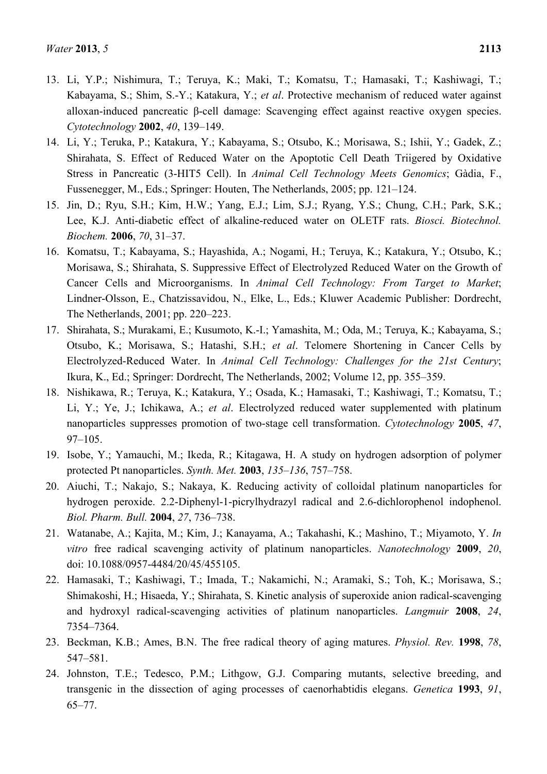- 13. Li, Y.P.; Nishimura, T.; Teruya, K.; Maki, T.; Komatsu, T.; Hamasaki, T.; Kashiwagi, T.; Kabayama, S.; Shim, S.-Y.; Katakura, Y.; *et al*. Protective mechanism of reduced water against alloxan-induced pancreatic β-cell damage: Scavenging effect against reactive oxygen species. *Cytotechnology* **2002**, *40*, 139–149.
- 14. Li, Y.; Teruka, P.; Katakura, Y.; Kabayama, S.; Otsubo, K.; Morisawa, S.; Ishii, Y.; Gadek, Z.; Shirahata, S. Effect of Reduced Water on the Apoptotic Cell Death Triigered by Oxidative Stress in Pancreatic (3-HIT5 Cell). In *Animal Cell Technology Meets Genomics*; Gàdia, F., Fussenegger, M., Eds.; Springer: Houten, The Netherlands, 2005; pp. 121–124.
- 15. Jin, D.; Ryu, S.H.; Kim, H.W.; Yang, E.J.; Lim, S.J.; Ryang, Y.S.; Chung, C.H.; Park, S.K.; Lee, K.J. Anti-diabetic effect of alkaline-reduced water on OLETF rats. *Biosci. Biotechnol. Biochem.* **2006**, *70*, 31–37.
- 16. Komatsu, T.; Kabayama, S.; Hayashida, A.; Nogami, H.; Teruya, K.; Katakura, Y.; Otsubo, K.; Morisawa, S.; Shirahata, S. Suppressive Effect of Electrolyzed Reduced Water on the Growth of Cancer Cells and Microorganisms. In *Animal Cell Technology: From Target to Market*; Lindner-Olsson, E., Chatzissavidou, N., Elke, L., Eds.; Kluwer Academic Publisher: Dordrecht, The Netherlands, 2001; pp. 220–223.
- 17. Shirahata, S.; Murakami, E.; Kusumoto, K.-I.; Yamashita, M.; Oda, M.; Teruya, K.; Kabayama, S.; Otsubo, K.; Morisawa, S.; Hatashi, S.H.; *et al*. Telomere Shortening in Cancer Cells by Electrolyzed-Reduced Water. In *Animal Cell Technology: Challenges for the 21st Century*; Ikura, K., Ed.; Springer: Dordrecht, The Netherlands, 2002; Volume 12, pp. 355–359.
- 18. Nishikawa, R.; Teruya, K.; Katakura, Y.; Osada, K.; Hamasaki, T.; Kashiwagi, T.; Komatsu, T.; Li, Y.; Ye, J.; Ichikawa, A.; *et al*. Electrolyzed reduced water supplemented with platinum nanoparticles suppresses promotion of two-stage cell transformation. *Cytotechnology* **2005**, *47*, 97–105.
- 19. Isobe, Y.; Yamauchi, M.; Ikeda, R.; Kitagawa, H. A study on hydrogen adsorption of polymer protected Pt nanoparticles. *Synth. Met.* **2003**, *135–136*, 757–758.
- 20. Aiuchi, T.; Nakajo, S.; Nakaya, K. Reducing activity of colloidal platinum nanoparticles for hydrogen peroxide. 2.2-Diphenyl-1-picrylhydrazyl radical and 2.6-dichlorophenol indophenol. *Biol. Pharm. Bull.* **2004**, *27*, 736–738.
- 21. Watanabe, A.; Kajita, M.; Kim, J.; Kanayama, A.; Takahashi, K.; Mashino, T.; Miyamoto, Y. *In vitro* free radical scavenging activity of platinum nanoparticles. *Nanotechnology* **2009**, *20*, doi: 10.1088/0957-4484/20/45/455105.
- 22. Hamasaki, T.; Kashiwagi, T.; Imada, T.; Nakamichi, N.; Aramaki, S.; Toh, K.; Morisawa, S.; Shimakoshi, H.; Hisaeda, Y.; Shirahata, S. Kinetic analysis of superoxide anion radical-scavenging and hydroxyl radical-scavenging activities of platinum nanoparticles. *Langmuir* **2008**, *24*, 7354–7364.
- 23. Beckman, K.B.; Ames, B.N. The free radical theory of aging matures. *Physiol. Rev.* **1998**, *78*, 547–581.
- 24. Johnston, T.E.; Tedesco, P.M.; Lithgow, G.J. Comparing mutants, selective breeding, and transgenic in the dissection of aging processes of caenorhabtidis elegans. *Genetica* **1993**, *91*, 65–77.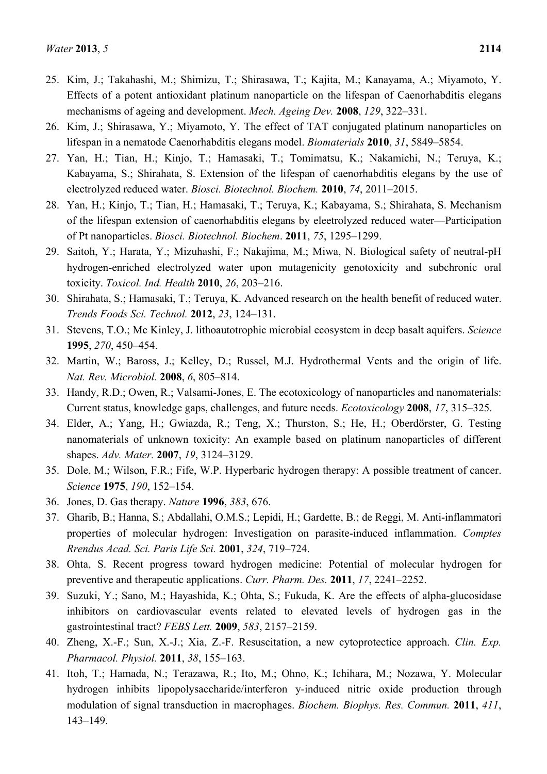- 25. Kim, J.; Takahashi, M.; Shimizu, T.; Shirasawa, T.; Kajita, M.; Kanayama, A.; Miyamoto, Y. Effects of a potent antioxidant platinum nanoparticle on the lifespan of Caenorhabditis elegans mechanisms of ageing and development. *Mech. Ageing Dev.* **2008**, *129*, 322–331.
- 26. Kim, J.; Shirasawa, Y.; Miyamoto, Y. The effect of TAT conjugated platinum nanoparticles on lifespan in a nematode Caenorhabditis elegans model. *Biomaterials* **2010**, *31*, 5849–5854.
- 27. Yan, H.; Tian, H.; Kinjo, T.; Hamasaki, T.; Tomimatsu, K.; Nakamichi, N.; Teruya, K.; Kabayama, S.; Shirahata, S. Extension of the lifespan of caenorhabditis elegans by the use of electrolyzed reduced water. *Biosci. Biotechnol. Biochem.* **2010**, *74*, 2011–2015.
- 28. Yan, H.; Kinjo, T.; Tian, H.; Hamasaki, T.; Teruya, K.; Kabayama, S.; Shirahata, S. Mechanism of the lifespan extension of caenorhabditis elegans by eleetrolyzed reduced water—Participation of Pt nanoparticles. *Biosci. Biotechnol. Biochem*. **2011**, *75*, 1295–1299.
- 29. Saitoh, Y.; Harata, Y.; Mizuhashi, F.; Nakajima, M.; Miwa, N. Biological safety of neutral-pH hydrogen-enriched electrolyzed water upon mutagenicity genotoxicity and subchronic oral toxicity. *Toxicol. Ind. Health* **2010**, *26*, 203–216.
- 30. Shirahata, S.; Hamasaki, T.; Teruya, K. Advanced research on the health benefit of reduced water. *Trends Foods Sci. Technol.* **2012**, *23*, 124–131.
- 31. Stevens, T.O.; Mc Kinley, J. lithoautotrophic microbial ecosystem in deep basalt aquifers. *Science* **1995**, *270*, 450–454.
- 32. Martin, W.; Baross, J.; Kelley, D.; Russel, M.J. Hydrothermal Vents and the origin of life. *Nat. Rev. Microbiol.* **2008**, *6*, 805–814.
- 33. Handy, R.D.; Owen, R.; Valsami-Jones, E. The ecotoxicology of nanoparticles and nanomaterials: Current status, knowledge gaps, challenges, and future needs. *Ecotoxicology* **2008**, *17*, 315–325.
- 34. Elder, A.; Yang, H.; Gwiazda, R.; Teng, X.; Thurston, S.; He, H.; Oberdörster, G. Testing nanomaterials of unknown toxicity: An example based on platinum nanoparticles of different shapes. *Adv. Mater.* **2007**, *19*, 3124–3129.
- 35. Dole, M.; Wilson, F.R.; Fife, W.P. Hyperbaric hydrogen therapy: A possible treatment of cancer. *Science* **1975**, *190*, 152–154.
- 36. Jones, D. Gas therapy. *Nature* **1996**, *383*, 676.
- 37. Gharib, B.; Hanna, S.; Abdallahi, O.M.S.; Lepidi, H.; Gardette, B.; de Reggi, M. Anti-inflammatori properties of molecular hydrogen: Investigation on parasite-induced inflammation. *Comptes Rrendus Acad. Sci. Paris Life Sci.* **2001**, *324*, 719–724.
- 38. Ohta, S. Recent progress toward hydrogen medicine: Potential of molecular hydrogen for preventive and therapeutic applications. *Curr. Pharm. Des.* **2011**, *17*, 2241–2252.
- 39. Suzuki, Y.; Sano, M.; Hayashida, K.; Ohta, S.; Fukuda, K. Are the effects of alpha-glucosidase inhibitors on cardiovascular events related to elevated levels of hydrogen gas in the gastrointestinal tract? *FEBS Lett.* **2009**, *583*, 2157–2159.
- 40. Zheng, X.-F.; Sun, X.-J.; Xia, Z.-F. Resuscitation, a new cytoprotectice approach. *Clin. Exp. Pharmacol. Physiol.* **2011**, *38*, 155–163.
- 41. Itoh, T.; Hamada, N.; Terazawa, R.; Ito, M.; Ohno, K.; Ichihara, M.; Nozawa, Y. Molecular hydrogen inhibits lipopolysaccharide/interferon y-induced nitric oxide production through modulation of signal transduction in macrophages. *Biochem. Biophys. Res. Commun.* **2011**, *411*, 143–149.